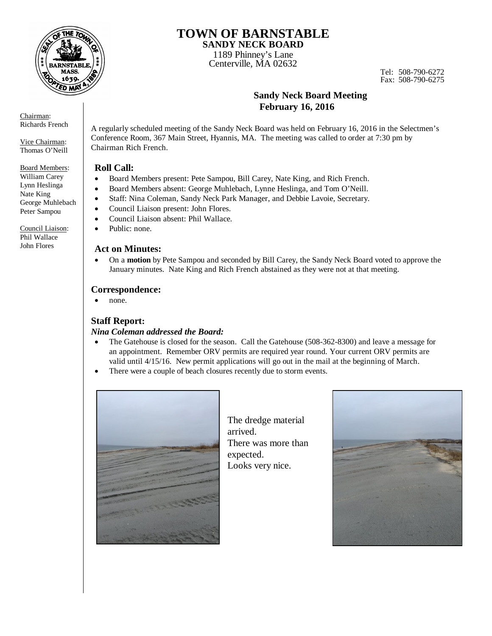

**TOWN OF BARNSTABLE SANDY NECK BOARD** 

1189 Phinney's Lane Centerville, MA 02632

Tel: 508-790-6272 Fax: 508-790-6275

# **Sandy Neck Board Meeting February 16, 2016**

A regularly scheduled meeting of the Sandy Neck Board was held on February 16, 2016 in the Selectmen's Conference Room, 367 Main Street, Hyannis, MA. The meeting was called to order at 7:30 pm by Chairman Rich French.

# **Roll Call:**

- Board Members present: Pete Sampou, Bill Carey, Nate King, and Rich French.
- Board Members absent: George Muhlebach, Lynne Heslinga, and Tom O'Neill.
- Staff: Nina Coleman, Sandy Neck Park Manager, and Debbie Lavoie, Secretary.
- Council Liaison present: John Flores.
- Council Liaison absent: Phil Wallace.
- Public: none.

## **Act on Minutes:**

 On a **motion** by Pete Sampou and seconded by Bill Carey, the Sandy Neck Board voted to approve the January minutes. Nate King and Rich French abstained as they were not at that meeting.

# **Correspondence:**

• none.

# **Staff Report:**

# *Nina Coleman addressed the Board:*

- The Gatehouse is closed for the season. Call the Gatehouse (508-362-8300) and leave a message for an appointment. Remember ORV permits are required year round. Your current ORV permits are valid until 4/15/16. New permit applications will go out in the mail at the beginning of March.
- There were a couple of beach closures recently due to storm events.



The dredge material arrived. There was more than expected. Looks very nice.



Chairman: Richards French

Vice Chairman: Thomas O'Neill

Board Members: William Carey Lynn Heslinga Nate King George Muhlebach Peter Sampou

Council Liaison: Phil Wallace John Flores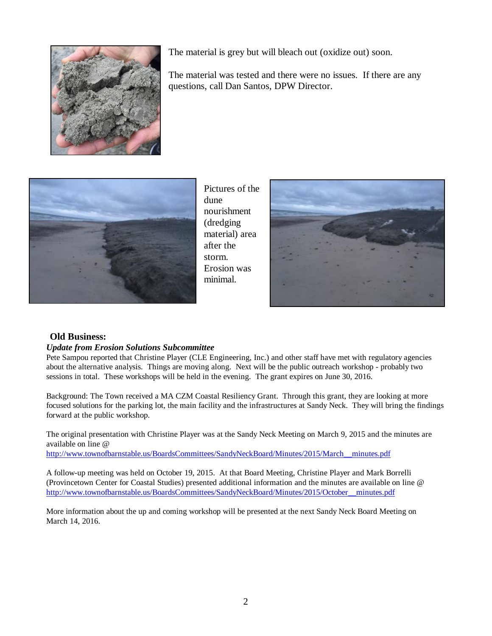

The material is grey but will bleach out (oxidize out) soon.

The material was tested and there were no issues. If there are any questions, call Dan Santos, DPW Director.



Pictures of the dune nourishment (dredging material) area after the storm. Erosion was minimal.



## **Old Business:**

## *Update from Erosion Solutions Subcommittee*

Pete Sampou reported that Christine Player (CLE Engineering, Inc.) and other staff have met with regulatory agencies about the alternative analysis. Things are moving along. Next will be the public outreach workshop - probably two sessions in total. These workshops will be held in the evening. The grant expires on June 30, 2016.

Background: The Town received a MA CZM Coastal Resiliency Grant. Through this grant, they are looking at more focused solutions for the parking lot, the main facility and the infrastructures at Sandy Neck. They will bring the findings forward at the public workshop.

The original presentation with Christine Player was at the Sandy Neck Meeting on March 9, 2015 and the minutes are available on line @

http://www.townofbarnstable.us/BoardsCommittees/SandyNeckBoard/Minutes/2015/March\_\_minutes.pdf

A follow-up meeting was held on October 19, 2015. At that Board Meeting, Christine Player and Mark Borrelli (Provincetown Center for Coastal Studies) presented additional information and the minutes are available on line @ http://www.townofbarnstable.us/BoardsCommittees/SandyNeckBoard/Minutes/2015/October\_\_minutes.pdf

More information about the up and coming workshop will be presented at the next Sandy Neck Board Meeting on March 14, 2016.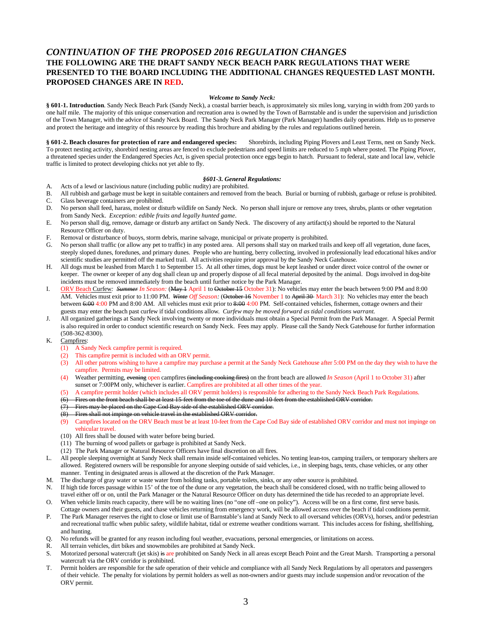## *CONTINUATION OF THE PROPOSED 2016 REGULATION CHANGES* **THE FOLLOWING ARE THE DRAFT SANDY NECK BEACH PARK REGULATIONS THAT WERE PRESENTED TO THE BOARD INCLUDING THE ADDITIONAL CHANGES REQUESTED LAST MONTH. PROPOSED CHANGES ARE IN RED.**

### *Welcome to Sandy Neck:*

**§ 601-1. Introduction**. Sandy Neck Beach Park (Sandy Neck), a coastal barrier beach, is approximately six miles long, varying in width from 200 yards to one half mile. The majority of this unique conservation and recreation area is owned by the Town of Barnstable and is under the supervision and jurisdiction of the Town Manager, with the advice of Sandy Neck Board. The Sandy Neck Park Manager (Park Manager) handles daily operations. Help us to preserve and protect the heritage and integrity of this resource by reading this brochure and abiding by the rules and regulations outlined herein.

**§ 601-2. Beach closures for protection of rare and endangered species:** Shorebirds, including Piping Plovers and Least Terns, nest on Sandy Neck. To protect nesting activity, shorebird nesting areas are fenced to exclude pedestrians and speed limits are reduced to 5 mph where posted. The Piping Plover, a threatened species under the Endangered Species Act, is given special protection once eggs begin to hatch. Pursuant to federal, state and local law, vehicle traffic is limited to protect developing chicks not yet able to fly.

### *§601-3. General Regulations:*

- A. Acts of a lewd or lascivious nature (including public nudity) are prohibited.<br>B. All rubbish and garbage must be kent in suitable containers and removed from
- B. All rubbish and garbage must be kept in suitable containers and removed from the beach. Burial or burning of rubbish, garbage or refuse is prohibited. C. Glass beverage containers are prohibited.
- D. No person shall feed, harass, molest or disturb wildlife on Sandy Neck. No person shall injure or remove any trees, shrubs, plants or other vegetation from Sandy Neck. *Exception: edible fruits and legally hunted game*.
- E. No person shall dig, remove, damage or disturb any artifact on Sandy Neck. The discovery of any artifact(s) should be reported to the Natural Resource Officer on duty.
- F. Removal or disturbance of buoys, storm debris, marine salvage, municipal or private property is prohibited.
- G. No person shall traffic (or allow any pet to traffic) in any posted area. All persons shall stay on marked trails and keep off all vegetation, dune faces, steeply sloped dunes, foredunes, and primary dunes. People who are hunting, berry collecting, involved in professionally lead educational hikes and/or scientific studies are permitted off the marked trail. All activities require prior approval by the Sandy Neck Gatehouse.
- H. All dogs must be leashed from March 1 to September 15. At all other times, dogs must be kept leashed or under direct voice control of the owner or keeper. The owner or keeper of any dog shall clean up and properly dispose of all fecal material deposited by the animal. Dogs involved in dog-bite incidents must be removed immediately from the beach until further notice by the Park Manager.
- I. ORV Beach Curfew*: Summer In Season:* (May 1 April 1 to October 15 October 31): No vehicles may enter the beach between 9:00 PM and 8:00 AM. Vehicles must exit prior to 11:00 PM. Winte Off Season: (October 16 November 1 to April 30 March 31): No vehicles may enter the beach between 6:00 4:00 PM and 8:00 AM. All vehicles must exit prior to 8:00 4:00 PM. Self-contained vehicles, fishermen, cottage owners and their guests may enter the beach past curfew if tidal conditions allow*. Curfew may be moved forward as tidal conditions warrant.*
- J. All organized gatherings at Sandy Neck involving twenty or more individuals must obtain a Special Permit from the Park Manager. A Special Permit is also required in order to conduct scientific research on Sandy Neck. Fees may apply. Please call the Sandy Neck Gatehouse for further information (508-362-8300).
- K. Campfires:
	- (1) A Sandy Neck campfire permit is required.
	- (2) This campfire permit is included with an ORV permit.
	- (3) All other patrons wishing to have a campfire may purchase a permit at the Sandy Neck Gatehouse after 5:00 PM on the day they wish to have the campfire. Permits may be limited.
	- (4) Weather permitting, evening open campfires (including cooking fires) on the front beach are allowed *In Season* (April 1 to October 31) after sunset or 7:00PM only, whichever is earlier. Campfires are prohibited at all other times of the year.
	- (5) A campfire permit holder (which includes all ORV permit holders) is responsible for adhering to the Sandy Neck Beach Park Regulations.
	- (6) Fires on the front beach shall be at least 15-feet from the toe of the dune and 10-feet from the established ORV corridor.
	- (7) Fires may be placed on the Cape Cod Bay side of the established ORV corridor.
	- Fires shall not impinge on vehicle travel in the established ORV corridor.
	- (9) Campfires located on the ORV Beach must be at least 10-feet from the Cape Cod Bay side of established ORV corridor and must not impinge on vehicular travel.
	- (10) All fires shall be doused with water before being buried.
	- (11) The burning of wood pallets or garbage is prohibited at Sandy Neck.
	- (12) The Park Manager or Natural Resource Officers have final discretion on all fires.
- L. All people sleeping overnight at Sandy Neck shall remain inside self-contained vehicles. No tenting lean-tos, camping trailers, or temporary shelters are allowed. Registered owners will be responsible for anyone sleeping outside of said vehicles, i.e., in sleeping bags, tents, chase vehicles, or any other manner. Tenting in designated areas is allowed at the discretion of the Park Manager.
- M. The discharge of gray water or waste water from holding tanks, portable toilets, sinks, or any other source is prohibited.
- N. If high tide forces passage within 15' of the toe of the dune or any vegetation, the beach shall be considered closed, with no traffic being allowed to travel either off or on, until the Park Manager or the Natural Resource Officer on duty has determined the tide has receded to an appropriate level.
- O. When vehicle limits reach capacity, there will be no waiting lines (no "one off –one on policy"). Access will be on a first come, first serve basis. Cottage owners and their guests, and chase vehicles returning from emergency work, will be allowed access over the beach if tidal conditions permit.
- P. The Park Manager reserves the right to close or limit use of Barnstable's land at Sandy Neck to all oversand vehicles (ORVs), horses, and/or pedestrian and recreational traffic when public safety, wildlife habitat, tidal or extreme weather conditions warrant. This includes access for fishing, shellfishing, and hunting.
- Q. No refunds will be granted for any reason including foul weather, evacuations, personal emergencies, or limitations on access.
- R. All terrain vehicles, dirt bikes and snowmobiles are prohibited at Sandy Neck.
- S. Motorized personal watercraft (jet skis) is are prohibited on Sandy Neck in all areas except Beach Point and the Great Marsh. Transporting a personal watercraft via the ORV corridor is prohibited.
- T. Permit holders are responsible for the safe operation of their vehicle and compliance with all Sandy Neck Regulations by all operators and passengers of their vehicle. The penalty for violations by permit holders as well as non-owners and/or guests may include suspension and/or revocation of the ORV permit.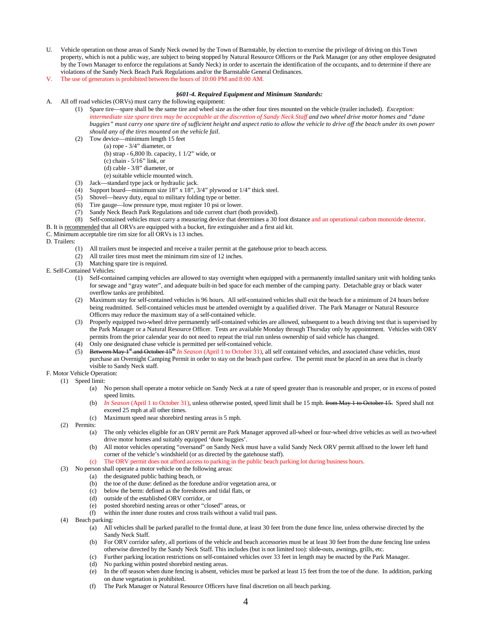- U. Vehicle operation on those areas of Sandy Neck owned by the Town of Barnstable, by election to exercise the privilege of driving on this Town property, which is not a public way, are subject to being stopped by Natural Resource Officers or the Park Manager (or any other employee designated by the Town Manager to enforce the regulations at Sandy Neck) in order to ascertain the identification of the occupants, and to determine if there are violations of the Sandy Neck Beach Park Regulations and/or the Barnstable General Ordinances.
- V. The use of generators is prohibited between the hours of 10:00 PM and 8:00 AM.

#### *§601-4. Required Equipment and Minimum Standards:*

- A. All off road vehicles (ORVs) must carry the following equipment:
	- (1) Spare tire—spare shall be the same tire and wheel size as the other four tires mounted on the vehicle (trailer included). *Exception: intermediate size spare tires may be acceptable at the discretion of Sandy Neck Staff and two wheel drive motor homes and "dune buggies" must carry one spare tire of sufficient height and aspect ratio to allow the vehicle to drive off the beach under its own power should any of the tires mounted on the vehicle fail*.
	- (2) Tow device—minimum length 15 feet
		- (a) rope 3/4" diameter, or
		- (b) strap 6,800 lb. capacity, 1 1/2" wide, or
		- (c) chain 5/16" link, or
		- (d) cable 3/8" diameter, or
		- (e) suitable vehicle mounted winch.
	- (3) Jack—standard type jack or hydraulic jack.
	- (4) Support board—minimum size 18" x 18", 3/4" plywood or 1/4" thick steel.
	- (5) Shovel—heavy duty, equal to military folding type or better.
	- (6) Tire gauge—low pressure type, must register 10 psi or lower.
	- (7) Sandy Neck Beach Park Regulations and tide current chart (both provided).
	- (8) Self-contained vehicles must carry a measuring device that determines a 30 foot distance and an operational carbon monoxide detector.
- B. It is recommended that all ORVs are equipped with a bucket, fire extinguisher and a first aid kit.

C. Minimum acceptable tire rim size for all ORVs is 13 inches.

#### D. Trailers:

- (1) All trailers must be inspected and receive a trailer permit at the gatehouse prior to beach access.
- (2) All trailer tires must meet the minimum rim size of 12 inches.
- (3) Matching spare tire is required.
- E. Self-Contained Vehicles:
	- (1) Self-contained camping vehicles are allowed to stay overnight when equipped with a permanently installed sanitary unit with holding tanks for sewage and "gray water", and adequate built-in bed space for each member of the camping party. Detachable gray or black water overflow tanks are prohibited.
	- (2) Maximum stay for self-contained vehicles is 96 hours. All self-contained vehicles shall exit the beach for a minimum of 24 hours before being readmitted. Self-contained vehicles must be attended overnight by a qualified driver. The Park Manager or Natural Resource Officers may reduce the maximum stay of a self-contained vehicle.
	- (3) Properly equipped two-wheel drive permanently self-contained vehicles are allowed, subsequent to a beach driving test that is supervised by the Park Manager or a Natural Resource Officer. Tests are available Monday through Thursday only by appointment. Vehicles with ORV permits from the prior calendar year do not need to repeat the trial run unless ownership of said vehicle has changed.
	- (4) Only one designated chase vehicle is permitted per self-contained vehicle.<br>(5) Between May  $I^*$  and October  $I_5^*$  In Season (April 1 to October 31), all s
	- (5) Between May 1st and October 15th *In Season* (April 1 to October 31), all self contained vehicles, and associated chase vehicles, must purchase an Overnight Camping Permit in order to stay on the beach past curfew. The permit must be placed in an area that is clearly visible to Sandy Neck staff.

## F. Motor Vehicle Operation:

- (1) Speed limit:
	- (a) No person shall operate a motor vehicle on Sandy Neck at a rate of speed greater than is reasonable and proper, or in excess of posted speed limits.
	- (b) *In Season* (April 1 to October 31), unless otherwise posted, speed limit shall be 15 mph. from May 1 to October 15. Speed shall not exceed 25 mph at all other times.
	- (c) Maximum speed near shorebird nesting areas is 5 mph.
	- (2) Permits:
		- (a) The only vehicles eligible for an ORV permit are Park Manager approved all-wheel or four-wheel drive vehicles as well as two-wheel drive motor homes and suitably equipped 'dune buggies'.
		- (b) All motor vehicles operating "oversand" on Sandy Neck must have a valid Sandy Neck ORV permit affixed to the lower left hand corner of the vehicle's windshield (or as directed by the gatehouse staff).
		- The ORV permit does not afford access to parking in the public beach parking lot during business hours.
	- (3) No person shall operate a motor vehicle on the following areas:
		- (a) the designated public bathing beach, or
		- (b) the toe of the dune: defined as the foredune and/or vegetation area, or
		- (c) below the berm: defined as the foreshores and tidal flats, or (d) outside of the established ORV corridor. or
		- outside of the established ORV corridor, or
		- (e) posted shorebird nesting areas or other "closed" areas, or
		- (f) within the inner dune routes and cross trails without a valid trail pass.
	- (4) Beach parking:
		- (a) All vehicles shall be parked parallel to the frontal dune, at least 30 feet from the dune fence line, unless otherwise directed by the Sandy Neck Staff.
		- (b) For ORV corridor safety, all portions of the vehicle and beach accessories must be at least 30 feet from the dune fencing line unless otherwise directed by the Sandy Neck Staff. This includes (but is not limited too): slide-outs, awnings, grills, etc.
		- (c) Further parking location restrictions on self-contained vehicles over 33 feet in length may be enacted by the Park Manager.
		- No parking within posted shorebird nesting areas.
		- (e) In the off season when dune fencing is absent, vehicles must be parked at least 15 feet from the toe of the dune. In addition, parking on dune vegetation is prohibited.
		- (f) The Park Manager or Natural Resource Officers have final discretion on all beach parking.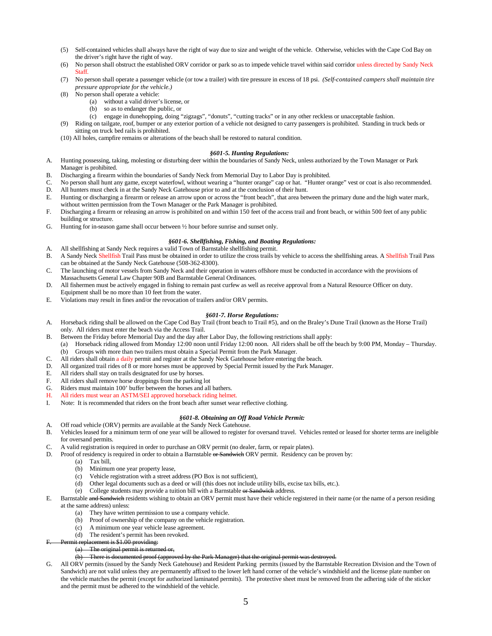- (5) Self-contained vehicles shall always have the right of way due to size and weight of the vehicle. Otherwise, vehicles with the Cape Cod Bay on the driver's right have the right of way.
- (6) No person shall obstruct the established ORV corridor or park so as to impede vehicle travel within said corridor unless directed by Sandy Neck Staff.
- (7) No person shall operate a passenger vehicle (or tow a trailer) with tire pressure in excess of 18 psi. *(Self-contained campers shall maintain tire pressure appropriate for the vehicle.)*
- (8) No person shall operate a vehicle:
	- (a) without a valid driver's license, or
	- (b) so as to endanger the public, or
	- (c) engage in dunehopping, doing "zigzags", "donuts", "cutting tracks" or in any other reckless or unacceptable fashion.
- (9) Riding on tailgate, roof, bumper or any exterior portion of a vehicle not designed to carry passengers is prohibited. Standing in truck beds or sitting on truck bed rails is prohibited.
- (10) All holes, campfire remains or alterations of the beach shall be restored to natural condition.

#### *§601-5. Hunting Regulations:*

- A. Hunting possessing, taking, molesting or disturbing deer within the boundaries of Sandy Neck, unless authorized by the Town Manager or Park Manager is prohibited.
- B. Discharging a firearm within the boundaries of Sandy Neck from Memorial Day to Labor Day is prohibited.
- C. No person shall hunt any game, except waterfowl, without wearing a "hunter orange" cap or hat. "Hunter orange" vest or coat is also recommended.
- D. All hunters must check in at the Sandy Neck Gatehouse prior to and at the conclusion of their hunt.<br>E. Hunting or discharging a firearm or release an arrow upon or across the "front beach" that area bet
- Hunting or discharging a firearm or release an arrow upon or across the "front beach", that area between the primary dune and the high water mark, without written permission from the Town Manager or the Park Manager is prohibited.
- F. Discharging a firearm or releasing an arrow is prohibited on and within 150 feet of the access trail and front beach, or within 500 feet of any public building or structure.
- G. Hunting for in-season game shall occur between ½ hour before sunrise and sunset only.

### *§601-6. Shellfishing, Fishing, and Boating Regulations:*

- A. All shellfishing at Sandy Neck requires a valid Town of Barnstable shellfishing permit. B. A Sandy Neck Shellfish Trail Pass must be obtained in order to utilize the cross trails by vehicle to access the shellfishing areas. A Shellfish Trail Pass can be obtained at the Sandy Neck Gatehouse (508-362-8300).
- C. The launching of motor vessels from Sandy Neck and their operation in waters offshore must be conducted in accordance with the provisions of Massachusetts General Law Chapter 90B and Barnstable General Ordinances.
- D. All fishermen must be actively engaged in fishing to remain past curfew as well as receive approval from a Natural Resource Officer on duty. Equipment shall be no more than 10 feet from the water.
- E. Violations may result in fines and/or the revocation of trailers and/or ORV permits.

### *§601-7. Horse Regulations:*

- A. Horseback riding shall be allowed on the Cape Cod Bay Trail (front beach to Trail #5), and on the Braley's Dune Trail (known as the Horse Trail) only. All riders must enter the beach via the Access Trail.
- B. Between the Friday before Memorial Day and the day after Labor Day, the following restrictions shall apply:
- (a) Horseback riding allowed from Monday 12:00 noon until Friday 12:00 noon. All riders shall be off the beach by 9:00 PM, Monday Thursday. (b) Groups with more than two trailers must obtain a Special Permit from the Park Manager.
- C. All riders shall obtain a daily permit and register at the Sandy Neck Gatehouse before entering the beach.
- D. All organized trail rides of 8 or more horses must be approved by Special Permit issued by the Park Manager.
- E. All riders shall stay on trails designated for use by horses.
- F. All riders shall remove horse droppings from the parking lot
- G. Riders must maintain 100' buffer between the horses and all bathers.
- H. All riders must wear an ASTM/SEI approved horseback riding helmet.
- I. Note: It is recommended that riders on the front beach after sunset wear reflective clothing.

#### *§601-8. Obtaining an Off Road Vehicle Permit:*

- A. Off road vehicle (ORV) permits are available at the Sandy Neck Gatehouse.
- B. Vehicles leased for a minimum term of one year will be allowed to register for oversand travel. Vehicles rented or leased for shorter terms are ineligible for oversand permits.
- C. A valid registration is required in order to purchase an ORV permit (no dealer, farm, or repair plates).
- D. Proof of residency is required in order to obtain a Barnstable or Sandwich ORV permit. Residency can be proven by:
	- (a) Tax bill,
		- (b) Minimum one year property lease,
		- (c) Vehicle registration with a street address (PO Box is not sufficient),
		- (d) Other legal documents such as a deed or will (this does not include utility bills, excise tax bills, etc.).
		- (e) College students may provide a tuition bill with a Barnstable or Sandwich address.
- E. Barnstable and Sandwich residents wishing to obtain an ORV permit must have their vehicle registered in their name (or the name of a person residing at the same address) unless:
	- (a) They have written permission to use a company vehicle.
	- (b) Proof of ownership of the company on the vehicle registration.
	- (c) A minimum one year vehicle lease agreement.
	- (d) The resident's permit has been revoked.
- Permit replacement is \$1.00 providing:  $(a)$  The original permit is returned

### (b) There is documented proof (approved by the Park Manager) that the original permit of

G. All ORV permits (issued by the Sandy Neck Gatehouse) and Resident Parking permits (issued by the Barnstable Recreation Division and the Town of Sandwich) are not valid unless they are permanently affixed to the lower left hand corner of the vehicle's windshield and the license plate number on the vehicle matches the permit (except for authorized laminated permits). The protective sheet must be removed from the adhering side of the sticker and the permit must be adhered to the windshield of the vehicle.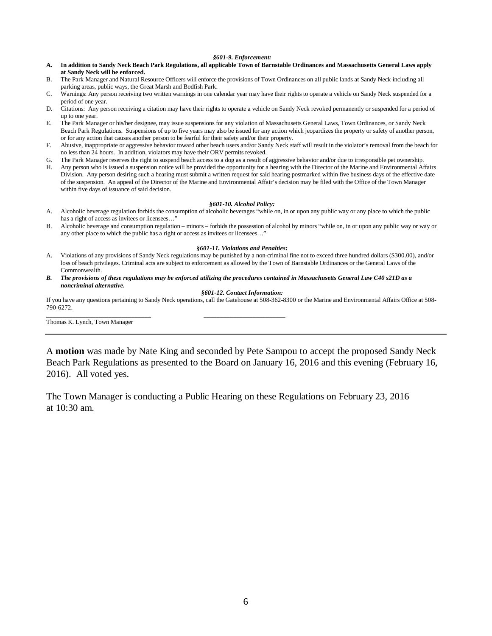#### *§601-9. Enforcement:*

- **A. In addition to Sandy Neck Beach Park Regulations, all applicable Town of Barnstable Ordinances and Massachusetts General Laws apply at Sandy Neck will be enforced.**
- B. The Park Manager and Natural Resource Officers will enforce the provisions of Town Ordinances on all public lands at Sandy Neck including all parking areas, public ways, the Great Marsh and Bodfish Park.
- C. Warnings: Any person receiving two written warnings in one calendar year may have their rights to operate a vehicle on Sandy Neck suspended for a period of one year.
- D. Citations: Any person receiving a citation may have their rights to operate a vehicle on Sandy Neck revoked permanently or suspended for a period of up to one year.
- E. The Park Manager or his/her designee, may issue suspensions for any violation of Massachusetts General Laws, Town Ordinances, or Sandy Neck Beach Park Regulations. Suspensions of up to five years may also be issued for any action which jeopardizes the property or safety of another person, or for any action that causes another person to be fearful for their safety and/or their property.
- F. Abusive, inappropriate or aggressive behavior toward other beach users and/or Sandy Neck staff will result in the violator's removal from the beach for no less than 24 hours. In addition, violators may have their ORV permits revoked.
- G. The Park Manager reserves the right to suspend beach access to a dog as a result of aggressive behavior and/or due to irresponsible pet ownership.
- H. Any person who is issued a suspension notice will be provided the opportunity for a hearing with the Director of the Marine and Environmental Affairs Division. Any person desiring such a hearing must submit a written request for said hearing postmarked within five business days of the effective date of the suspension. An appeal of the Director of the Marine and Environmental Affair's decision may be filed with the Office of the Town Manager within five days of issuance of said decision.

#### *§601-10. Alcohol Policy:*

- A. Alcoholic beverage regulation forbids the consumption of alcoholic beverages "while on, in or upon any public way or any place to which the public has a right of access as invitees or licensees…"
- B. Alcoholic beverage and consumption regulation minors forbids the possession of alcohol by minors "while on, in or upon any public way or way or any other place to which the public has a right or access as invitees or licensees…"

#### *§601-11. Violations and Penalties:*

- A. Violations of any provisions of Sandy Neck regulations may be punished by a non-criminal fine not to exceed three hundred dollars (\$300.00), and/or loss of beach privileges. Criminal acts are subject to enforcement as allowed by the Town of Barnstable Ordinances or the General Laws of the Commonwealth.
- *B. The provisions of these regulations may be enforced utilizing the procedures contained in Massachusetts General Law C40 s21D as a noncriminal alternative.*

\_\_\_\_\_\_\_\_\_\_\_\_\_\_\_\_\_\_\_\_\_\_\_\_\_\_\_\_\_\_\_\_ \_\_\_\_\_\_\_\_\_\_\_\_\_\_\_\_\_\_\_\_\_\_\_\_\_

#### *§601-12. Contact Information:*

If you have any questions pertaining to Sandy Neck operations, call the Gatehouse at 508-362-8300 or the Marine and Environmental Affairs Office at 508- 790-6272.

Thomas K. Lynch, Town Manager

A **motion** was made by Nate King and seconded by Pete Sampou to accept the proposed Sandy Neck Beach Park Regulations as presented to the Board on January 16, 2016 and this evening (February 16, 2016). All voted yes.

The Town Manager is conducting a Public Hearing on these Regulations on February 23, 2016 at 10:30 am.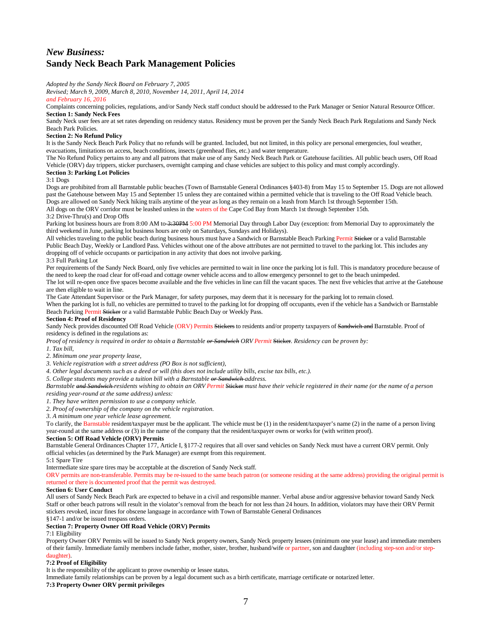# *New Business:* **Sandy Neck Beach Park Management Policies**

*Adopted by the Sandy Neck Board on February 7, 2005*

*Revised; March 9, 2009, March 8, 2010, November 14, 2011, April 14, 2014 and February 16, 2016*

Complaints concerning policies, regulations, and/or Sandy Neck staff conduct should be addressed to the Park Manager or Senior Natural Resource Officer. **Section 1: Sandy Neck Fees**

Sandy Neck user fees are at set rates depending on residency status. Residency must be proven per the Sandy Neck Beach Park Regulations and Sandy Neck Beach Park Policies.

### **Section 2: No Refund Policy**

It is the Sandy Neck Beach Park Policy that no refunds will be granted. Included, but not limited, in this policy are personal emergencies, foul weather, evacuations, limitations on access, beach conditions, insects (greenhead flies, etc.) and water temperature.

The No Refund Policy pertains to any and all patrons that make use of any Sandy Neck Beach Park or Gatehouse facilities. All public beach users, Off Road Vehicle (ORV) day trippers, sticker purchasers, overnight camping and chase vehicles are subject to this policy and must comply accordingly. **Section 3: Parking Lot Policies**

#### 3:1 Dogs

Dogs are prohibited from all Barnstable public beaches (Town of Barnstable General Ordinances §403-8) from May 15 to September 15. Dogs are not allowed past the Gatehouse between May 15 and September 15 unless they are contained within a permitted vehicle that is traveling to the Off Road Vehicle beach. Dogs are allowed on Sandy Neck hiking trails anytime of the year as long as they remain on a leash from March 1st through September 15th. All dogs on the ORV corridor must be leashed unless in the waters of the Cape Cod Bay from March 1st through September 15th.

### 3:2 Drive-Thru(s) and Drop Offs

Parking lot business hours are from 8:00 AM to-3:30PM 5:00 PM Memorial Day through Labor Day (exception: from Memorial Day to approximately the third weekend in June, parking lot business hours are only on Saturdays, Sundays and Holidays).

All vehicles traveling to the public beach during business hours must have a Sandwich or Barnstable Beach Parking Permit Sticker or a valid Barnstable Public Beach Day, Weekly or Landlord Pass. Vehicles without one of the above attributes are not permitted to travel to the parking lot. This includes any dropping off of vehicle occupants or participation in any activity that does not involve parking.

3:3 Full Parking Lot

Per requirements of the Sandy Neck Board, only five vehicles are permitted to wait in line once the parking lot is full. This is mandatory procedure because of the need to keep the road clear for off-road and cottage owner vehicle access and to allow emergency personnel to get to the beach unimpeded. The lot will re-open once five spaces become available and the five vehicles in line can fill the vacant spaces. The next five vehicles that arrive at the Gatehouse are then eligible to wait in line.

The Gate Attendant Supervisor or the Park Manager, for safety purposes, may deem that it is necessary for the parking lot to remain closed. When the parking lot is full, no vehicles are permitted to travel to the parking lot for dropping off occupants, even if the vehicle has a Sandwich or Barnstable Beach Parking Permit Sticker or a valid Barnstable Public Beach Day or Weekly Pass.

#### **Section 4: Proof of Residency**

Sandy Neck provides discounted Off Road Vehicle (ORV) Permits Stickers to residents and/or property taxpayers of Sandwich and Barnstable. Proof of residency is defined in the regulations as:

*Proof of residency is required in order to obtain a Barnstable or Sandwich ORV Permit* Sticker*. Residency can be proven by:*

*1. Tax bill,*

*2. Minimum one year property lease,*

*3. Vehicle registration with a street address (PO Box is not sufficient),*

*4. Other legal documents such as a deed or will (this does not include utility bills, excise tax bills, etc.).*

*5. College students may provide a tuition bill with a Barnstable or Sandwich address.*

*Barnstable* and *Sandwich residents wishing to obtain an ORV Permit Sticker must have their vehicle registered in their name (or the name of a person being a person and the metal of a person and their metal of a person an residing year-round at the same address) unless:*

*1. They have written permission to use a company vehicle.*

*2. Proof of ownership of the company on the vehicle registration.*

*3. A minimum one year vehicle lease agreement.*

To clarify, the Barnstable resident/taxpayer must be the applicant. The vehicle must be (1) in the resident/taxpayer's name (2) in the name of a person living year-round at the same address or (3) in the name of the company that the resident/taxpayer owns or works for (with written proof).

### **Section 5: Off Road Vehicle (ORV) Permits**

Barnstable General Ordinances Chapter 177, Article I, §177-2 requires that all over sand vehicles on Sandy Neck must have a current ORV permit. Only official vehicles (as determined by the Park Manager) are exempt from this requirement.

5:1 Spare Tire

Intermediate size spare tires may be acceptable at the discretion of Sandy Neck staff.

ORV permits are non-transferable. Permits may be re-issued to the same beach patron (or someone residing at the same address) providing the original permit is returned or there is documented proof that the permit was destroyed.

### **Section 6: User Conduct**

All users of Sandy Neck Beach Park are expected to behave in a civil and responsible manner. Verbal abuse and/or aggressive behavior toward Sandy Neck Staff or other beach patrons will result in the violator's removal from the beach for not less than 24 hours. In addition, violators may have their ORV Permit stickers revoked, incur fines for obscene language in accordance with Town of Barnstable General Ordinances

#### §147-1 and/or be issued trespass orders. **Section 7: Property Owner Off Road Vehicle (ORV) Permits**

#### 7:1 Eligibility

Property Owner ORV Permits will be issued to Sandy Neck property owners, Sandy Neck property lessees (minimum one year lease) and immediate members of their family. Immediate family members include father, mother, sister, brother, husband/wife or partner, son and daughter (including step-son and/or stepdaughter).

### **7:2 Proof of Eligibility**

It is the responsibility of the applicant to prove ownership or lessee status.

Immediate family relationships can be proven by a legal document such as a birth certificate, marriage certificate or notarized letter.

### **7:3 Property Owner ORV permit privileges**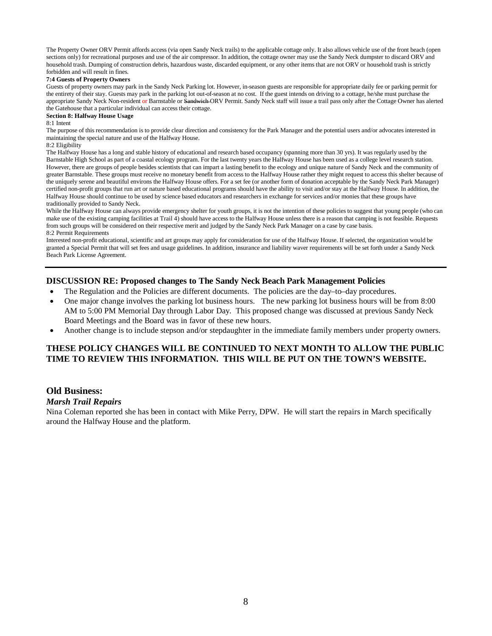The Property Owner ORV Permit affords access (via open Sandy Neck trails) to the applicable cottage only. It also allows vehicle use of the front beach (open sections only) for recreational purposes and use of the air compressor. In addition, the cottage owner may use the Sandy Neck dumpster to discard ORV and household trash. Dumping of construction debris, hazardous waste, discarded equipment, or any other items that are not ORV or household trash is strictly forbidden and will result in fines.

## **7:4 Guests of Property Owners**

Guests of property owners may park in the Sandy Neck Parking lot. However, in-season guests are responsible for appropriate daily fee or parking permit for the entirety of their stay. Guests may park in the parking lot out-of-season at no cost. If the guest intends on driving to a cottage, he/she must purchase the appropriate Sandy Neck Non-resident or Barnstable or Sandwich ORV Permit. Sandy Neck staff will issue a trail pass only after the Cottage Owner has alerted the Gatehouse that a particular individual can access their cottage.

## **Section 8: Halfway House Usage**

8:1 Intent

The purpose of this recommendation is to provide clear direction and consistency for the Park Manager and the potential users and/or advocates interested in maintaining the special nature and use of the Halfway House.

### $8.2$  Eligibility

The Halfway House has a long and stable history of educational and research based occupancy (spanning more than 30 yrs). It was regularly used by the Barnstable High School as part of a coastal ecology program. For the last twenty years the Halfway House has been used as a college level research station. However, there are groups of people besides scientists that can impart a lasting benefit to the ecology and unique nature of Sandy Neck and the community of greater Barnstable. These groups must receive no monetary benefit from access to the Halfway House rather they might request to access this shelter because of the uniquely serene and beautiful environs the Halfway House offers. For a set fee (or another form of donation acceptable by the Sandy Neck Park Manager) certified non-profit groups that run art or nature based educational programs should have the ability to visit and/or stay at the Halfway House. In addition, the Halfway House should continue to be used by science based educators and researchers in exchange for services and/or monies that these groups have traditionally provided to Sandy Neck.

While the Halfway House can always provide emergency shelter for youth groups, it is not the intention of these policies to suggest that young people (who can make use of the existing camping facilities at Trail 4) should have access to the Halfway House unless there is a reason that camping is not feasible. Requests from such groups will be considered on their respective merit and judged by the Sandy Neck Park Manager on a case by case basis. 8:2 Permit Requirements

Interested non-profit educational, scientific and art groups may apply for consideration for use of the Halfway House. If selected, the organization would be granted a Special Permit that will set fees and usage guidelines. In addition, insurance and liability waver requirements will be set forth under a Sandy Neck Beach Park License Agreement.

## **DISCUSSION RE: Proposed changes to The Sandy Neck Beach Park Management Policies**

- The Regulation and the Policies are different documents. The policies are the day–to–day procedures.
- One major change involves the parking lot business hours. The new parking lot business hours will be from 8:00 AM to 5:00 PM Memorial Day through Labor Day. This proposed change was discussed at previous Sandy Neck Board Meetings and the Board was in favor of these new hours.
- Another change is to include stepson and/or stepdaughter in the immediate family members under property owners.

## **THESE POLICY CHANGES WILL BE CONTINUED TO NEXT MONTH TO ALLOW THE PUBLIC TIME TO REVIEW THIS INFORMATION. THIS WILL BE PUT ON THE TOWN'S WEBSITE.**

## **Old Business:**

## *Marsh Trail Repairs*

Nina Coleman reported she has been in contact with Mike Perry, DPW. He will start the repairs in March specifically around the Halfway House and the platform.